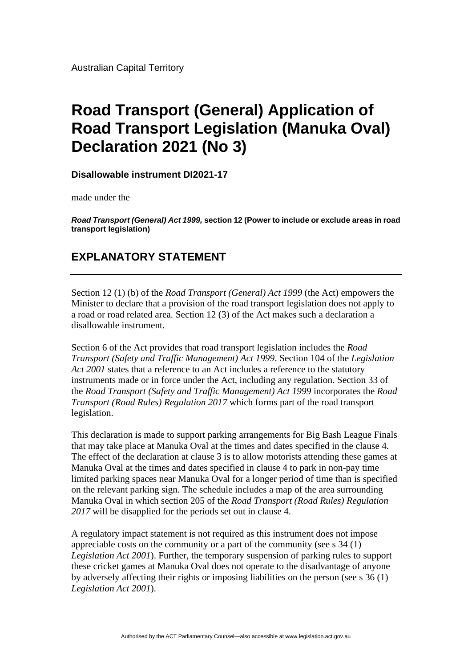Australian Capital Territory

## **Road Transport (General) Application of Road Transport Legislation (Manuka Oval) Declaration 2021 (No 3)**

**Disallowable instrument DI2021-17**

made under the

*Road Transport (General) Act 1999,* **section 12 (Power to include or exclude areas in road transport legislation)**

## **EXPLANATORY STATEMENT**

Section 12 (1) (b) of the *Road Transport (General) Act 1999* (the Act) empowers the Minister to declare that a provision of the road transport legislation does not apply to a road or road related area. Section 12 (3) of the Act makes such a declaration a disallowable instrument.

Section 6 of the Act provides that road transport legislation includes the *Road Transport (Safety and Traffic Management) Act 1999*. Section 104 of the *Legislation Act 2001* states that a reference to an Act includes a reference to the statutory instruments made or in force under the Act, including any regulation. Section 33 of the *Road Transport (Safety and Traffic Management) Act 1999* incorporates the *Road Transport (Road Rules) Regulation 2017* which forms part of the road transport legislation.

This declaration is made to support parking arrangements for Big Bash League Finals that may take place at Manuka Oval at the times and dates specified in the clause 4. The effect of the declaration at clause 3 is to allow motorists attending these games at Manuka Oval at the times and dates specified in clause 4 to park in non-pay time limited parking spaces near Manuka Oval for a longer period of time than is specified on the relevant parking sign. The schedule includes a map of the area surrounding Manuka Oval in which section 205 of the *Road Transport (Road Rules) Regulation 2017* will be disapplied for the periods set out in clause 4.

A regulatory impact statement is not required as this instrument does not impose appreciable costs on the community or a part of the community (see s 34 (1) *Legislation Act 2001*). Further, the temporary suspension of parking rules to support these cricket games at Manuka Oval does not operate to the disadvantage of anyone by adversely affecting their rights or imposing liabilities on the person (see s 36 (1) *Legislation Act 2001*).